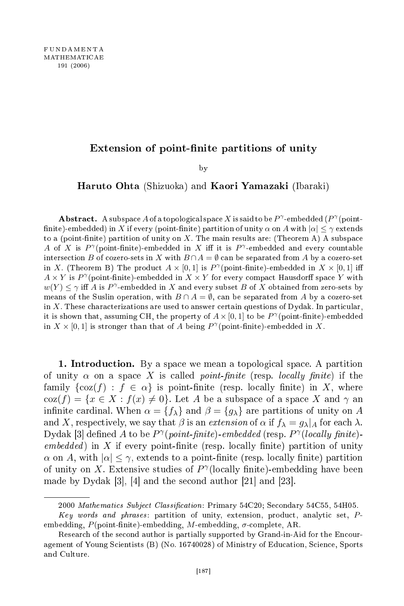## Extension of point-finite partitions of unity

by  $\overline{\phantom{a}}$ 

Haruto Ohta (Shizuoka) and Kaori Yamazaki (Ibaraki)

 ${\bf Abstract.}\ \; {\rm A} \; {\rm subspace}\, A$  of a topological space  $X$  is said to be  $P^{\gamma}$  -embedded  $(P^{\gamma}({\rm point}\text{-}P))$ finite)-embedded) in X if every (point-finite) partition of unity  $\alpha$  on A with  $|\alpha| < \gamma$  extends to a (point-finite) partition of unity on  $X$ . The main results are: (Theorem A) A subspace A of X is  $P^{\gamma}$ (point-finite)-embedded in X iff it is  $P^{\gamma}$ -embedded and every countable intersection B of cozero-sets in X with  $B \cap A = \emptyset$  can be separated from A by a cozero-set in X. (Theorem B) The product  $A \times [0,1]$  is  $P^{\gamma}$  (point-finite)-embedded in  $X \times [0,1]$  iff  $A \times Y$  is  $P^{\gamma}$ (point-finite)-embedded in  $X \times Y$  for every compact Hausdorff space Y with  $w(Y) \leq \gamma$  iff A is P<sup> $\gamma$ </sup>-embedded in X and every subset B of X obtained from zero-sets by means of the Suslin operation, with  $B \cap A = \emptyset$ , can be separated from A by a cozero-set in X. These characterizations are used to answer certain questions of Dydak. In particular, it is shown that, assuming CH, the property of  $A \times [0, 1]$  to be  $P^{\gamma}$  (point-finite)-embedded in  $X \times [0,1]$  is stronger than that of A being  $P^{\gamma}$  (point-finite)-embedded in X.

1. Introduction. By a space we mean a topological space. A partition of unity  $\alpha$  on a space X is called *point-finite* (resp. *locally finite*) if the family  $\{\cos(f) : f \in \alpha\}$  is point-finite (resp. locally finite) in X, where  $\cos(f) = \{x \in X : f(x) \neq 0\}.$  Let A be a subspace of a space X and  $\gamma$  and infinite cardinal. When  $\alpha = \{f_{\lambda}\}\$ and  $\beta = \{g_{\lambda}\}\$ are partitions of unity on A and X, respectively, we say that  $\beta$  is an extension of  $\alpha$  if  $f_{\lambda} = g_{\lambda}|_{A}$  for each  $\lambda$ . Dydak [3] defined A to be  $P^{\gamma}(point\text{-}finite)\text{-}embedded$  (resp.  $P^{\gamma}(locally\text{-}finite)\text{-}$  $embedded$ ) in X if every point-finite (resp. locally finite) partition of unity  $\alpha$  on A, with  $|\alpha| \leq \gamma$ , extends to a point-finite (resp. locally finite) partition of unity on X. Extensive studies of  $P^{\gamma}$ (locally finite)-embedding have been made by Dydak  $[3]$ ,  $[4]$  and the second author  $[21]$  and  $[23]$ .

<sup>2000</sup> Mathematics Subject Classification: Primary 54C20; Secondary 54C55, 54H05.

Key words and phrases: partition of unity, extension, product, analytic set, Pembedding,  $P(\text{point-finite})$ -embedding, M-embedding,  $\sigma$ -complete, AR.

Research of the second author is partially supported by Grand-in-Aid for the Encouragement of Young Scientists (B) (No. 16740028) of Ministry of Education, Science, Sports and Culture.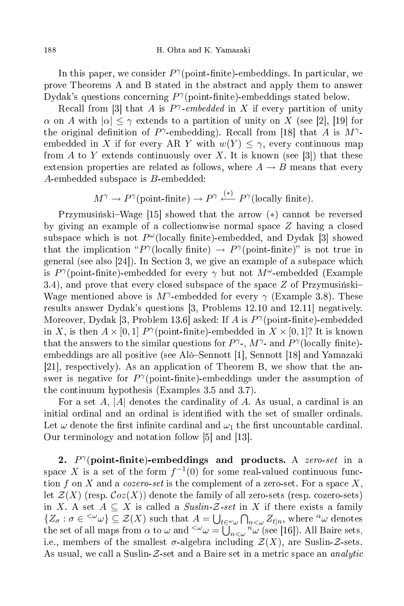In this paper, we consider  $P^{\gamma}(\text{point-finite})$ -embeddings. In particular, we prove Theorems A and B stated in the abstra
t and apply them to answer Dydak's questions concerning  $P^{\gamma}$ (point-finite)-embeddings stated below.

Recall from [3] that A is  $P^{\gamma}$ -embedded in X if every partition of unity  $\alpha$  on A with  $|\alpha| \leq \gamma$  extends to a partition of unity on X (see [2], [19] for the original definition of  $P^{\gamma}$ -embedding). Recall from [18] that A is  $M^{\gamma}$ embedded in X if for every AR Y with  $w(Y) \leq \gamma$ , every continuous map from A to Y extends continuously over X. It is known (see [3]) that these extension properties are related as follows, where  $A \rightarrow B$  means that every A-embedded subspa
e is B-embedded:

$$
M^{\gamma} \to P^{\gamma}(\text{point-finite}) \to P^{\gamma} \stackrel{(*)}{\longleftarrow} P^{\gamma}(\text{locally finite}).
$$

Przymusiński–Wage [15] showed that the arrow  $(*)$  cannot be reversed by giving an example of a collectionwise normal space  $Z$  having a closed subspace which is not  $P^{\omega}$ (locally finite)-embedded, and Dydak [3] showed that the implication " $P^{\gamma}$ (locally finite)  $\rightarrow P^{\gamma}$ (point-finite)" is not true in general (see also  $[24]$ ). In Section 3, we give an example of a subspace which is  $P^{\gamma}$ (point-finite)-embedded for every  $\gamma$  but not  $M^{\omega}$ -embedded (Example 3.4), and prove that every closed subspace of the space  $Z$  of Przymusinski Wage mentioned above is  $M^{\gamma}$ -embedded for every  $\gamma$  (Example 3.8). These results answer Dydak's questions  $[3,$  Problems 12.10 and 12.11 negatively. Moreover, Dydak [3, Problem 13.6] asked: If A is  $P^{\gamma}$ (point-finite)-embedded in X, is then  $A \times [0,1]$   $P^{\gamma}$ (point-finite)-embedded in  $X \times [0,1]$ ? It is known that the answers to the similar questions for  $P^{\gamma}$ -,  $M^{\gamma}$ - and  $P^{\gamma}$  (locally finite)embeddings are all positive (see Alò–Sennott [1], Sennott [18] and Yamazaki [21], respectively). As an application of Theorem B, we show that the answer is negative for  $P^{\gamma}$ (point-finite)-embeddings under the assumption of the ontinuum hypothesis (Examples 3.5 and 3.7).

For a set A, |A| denotes the cardinality of A. As usual, a cardinal is an initial ordinal and an ordinal is identified with the set of smaller ordinals. Let  $\omega$  denote the first infinite cardinal and  $\omega_1$  the first uncountable cardinal. Our terminology and notation follow  $[5]$  and  $[13]$ .

2.  $P^{\gamma}$ (point-finite)-embeddings and products. A zero-set in a space X is a set of the form  $f^{-1}(0)$  for some real-valued continuous function f on X and a cozero-set is the complement of a zero-set. For a space X, let  $\mathcal{Z}(X)$  (resp.  $\mathcal{C}oz(X)$ ) denote the family of all zero-sets (resp. cozero-sets) in X. A set  $A \subseteq X$  is called a  $Suslin-Z-set$  in X if there exists a family  $\{Z_{\sigma} : \sigma \in \langle \omega \rangle \subseteq \mathcal{Z}(X) \text{ such that } A = \bigcup_{t \in \omega} \bigcap_{n < \omega} Z_{t|n}, \text{ where } \alpha \omega \text{ denotes } t \leq \alpha \}$ the set of all maps from  $\alpha$  to  $\omega$  and  $\zeta^{\omega}\omega = \bigcup_{n<\omega} n_{\omega}$  (see [16]). All Baire sets, i.e., members of the smallest  $\sigma$ -algebra including  $\mathcal{Z}(X)$ , are Suslin-Z-sets. As usual, we call a Suslin- $Z$ -set and a Baire set in a metric space an *analytic*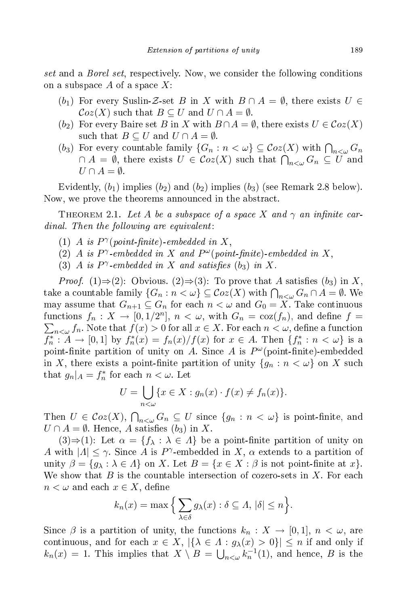set and a Borel set, respe
tively. Now, we onsider the following onditions on a subspace  $A$  of a space  $X$ :

- (b<sub>1</sub>) For every Suslin-Z-set B in X with  $B \cap A = \emptyset$ , there exists  $U \in$  $\mathcal{C}oz(X)$  such that  $B\subseteq U$  and  $U\cap A=\emptyset$ .
- (b<sub>2</sub>) For every Baire set B in X with  $B \cap A = \emptyset$ , there exists  $U \in \mathcal{C}oz(X)$ such that  $B \subseteq U$  and  $U \cap A = \emptyset$ .
- (b<sub>3</sub>) For every countable family  $\{G_n : n < \omega\} \subseteq \mathcal{C}oz(X)$  with  $\bigcap_{n<\omega} G_n$  $\cap$   $A$  =  $\emptyset$ , there exists  $U \in \mathcal{C}oz(X)$  such that  $\bigcap_{n<\omega}G_n \subseteq U$  and  $U \cap A = \emptyset.$

Evidently,  $(b_1)$  implies  $(b_2)$  and  $(b_2)$  implies  $(b_3)$  (see Remark 2.8 below). Now, we prove the theorems announ
ed in the abstra
t.

THEOREM 2.1. Let A be a subspace of a space X and  $\gamma$  an infinite car $dinal.$  Then the following are equivalent:

- (1) A is  $P^{\gamma}(point\text{-}finite)\text{-}embedded in X,$
- (2) A is  $P^{\gamma}$ -embedded in X and  $P^{\omega}(point\text{-}finite)$ -embedded in X,
- (3) A is  $P^{\gamma}$ -embedded in X and satisfies (b<sub>3</sub>) in X.

*Proof.* (1)⇒(2): Obvious. (2)⇒(3): To prove that A satisfies (b<sub>3</sub>) in X, take a countable family  $\{G_n : n < \omega\} \subseteq \mathcal{C}oz(X)$  with  $\bigcap_{n<\omega} G_n \cap A = \emptyset$ . We may assume that  $G_{n+1} \subseteq G_n$  for each  $n < \omega$  and  $G_0 = X$ . Take continuous functions  $f_n: X \to [0, 1/2^n]$ ,  $n < \omega$ , with  $G_n = \cos(f_n)$ , and define  $f =$  $\sum_{n<\omega}f_n.$  Note that  $f(x)>0$  for all  $x\in X.$  For each  $n<\omega,$  define a function  $f_n^*: A \to [0,1]$  by  $f_n^*(x) = f_n(x)/f(x)$  for  $x \in A$ . Then  $\{f_n^*: n < \omega\}$  is a point-finite partition of unity on A. Since A is  $P^{\omega}$ (point-finite)-embedded in X, there exists a point-finite partition of unity  $\{g_n : n < \omega\}$  on X such that  $g_n|_A = f_n^*$  for each  $n < \omega$ . Let

$$
U = \bigcup_{n < \omega} \{ x \in X : g_n(x) \cdot f(x) \neq f_n(x) \}.
$$

Then  $U \in \mathcal{C}oz(X)$ ,  $\bigcap_{n<\omega} G_n \subseteq U$  since  $\{g_n : n < \omega\}$  is point-finite, and  $U \cap A = \emptyset$ . Hence, A satisfies  $(b_3)$  in X.

 $(3) \Rightarrow (1)$ : Let  $\alpha = \{f_{\lambda} : \lambda \in \Lambda\}$  be a point-finite partition of unity on A with  $|A| \leq \gamma$ . Since A is P<sup> $\gamma$ </sup>-embedded in X,  $\alpha$  extends to a partition of unity  $\beta = \{g_\lambda : \lambda \in \Lambda\}$  on X. Let  $B = \{x \in X : \beta \text{ is not point-finite at } x\}.$ We show that  $B$  is the countable intersection of cozero-sets in  $X$ . For each  $n < \omega$  and each  $x \in X$ , define

$$
k_n(x) = \max\Big\{\sum_{\lambda \in \delta} g_{\lambda}(x) : \delta \subseteq \Lambda, |\delta| \le n\Big\}.
$$

Since  $\beta$  is a partition of unity, the functions  $k_n : X \to [0,1], n < \omega$ , are continuous, and for each  $x \in X$ ,  $|\{\lambda \in \Lambda : g_{\lambda}(x) > 0\}| \leq n$  if and only if  $k_n(x) = 1$ . This implies that  $X \setminus B = \bigcup_{n < \omega} k_n^{-1}(1)$ , and hence, B is the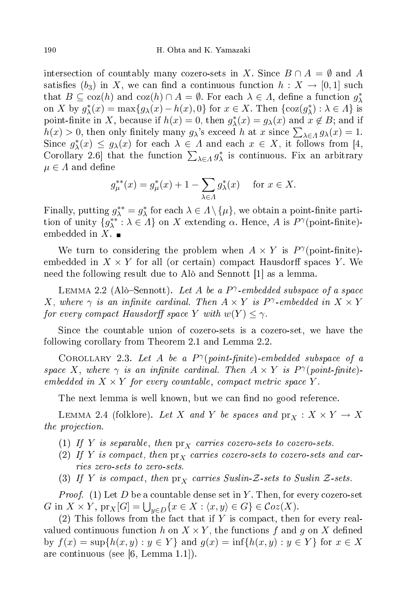intersection of countably many cozero-sets in X. Since  $B \cap A = \emptyset$  and A satisfies  $(b_3)$  in X, we can find a continuous function  $h: X \to [0,1]$  such that  $B \subseteq \text{coz}(h)$  and  $\text{coz}(h) \cap A = \emptyset$ . For each  $\lambda \in \Lambda$ , define a function  $g_{\lambda}^*$ on X by  $g_{\lambda}^*(x) = \max\{g_{\lambda}(x) - h(x), 0\}$  for  $x \in X$ . Then  $\{\cos(g_{\lambda}^*) : \lambda \in \Lambda\}$  is point-finite in X, because if  $h(x) = 0$ , then  $g_{\lambda}^*(x) = g_{\lambda}(x)$  and  $x \notin B$ ; and if  $h(x) > 0$ , then only finitely many  $g_{\lambda}$ 's exceed h at x since  $\sum_{\lambda \in \Lambda} g_{\lambda}(x) = 1$ . Since  $g^*_{\lambda}(x) \leq g_{\lambda}(x)$  for each  $\lambda \in \Lambda$  and each  $x \in X$ , it follows from [4, Corollary 2.6 that the function  $\sum_{\lambda \in A} g_{\lambda}^*$  is continuous. Fix an arbitrary  $\mu \in \varLambda$  and define

$$
g_{\mu}^{**}(x) = g_{\mu}^{*}(x) + 1 - \sum_{\lambda \in \Lambda} g_{\lambda}^{*}(x)
$$
 for  $x \in X$ .

Finally, putting  $g_{\lambda}^{**} = g_{\lambda}^*$  for each  $\lambda \in \Lambda \setminus \{\mu\}$ , we obtain a point-finite partition of unity  $\{g^{**}_\lambda : \lambda \in \Lambda\}$  on X extending  $\alpha$ . Hence, A is  $P^\gamma(\text{point-finite})$ embedded in  $X$ .

We turn to considering the problem when  $A \times Y$  is  $P^{\gamma}$ (point-finite)embedded in  $X \times Y$  for all (or certain) compact Hausdorff spaces Y. We need the following result due to Alò and Sennott [1] as a lemma.

LEMMA 2.2 (Alò-Sennott). Let A be a  $P^{\gamma}$ -embedded subspace of a space X, where  $\gamma$  is an infinite cardinal. Then  $A \times Y$  is P<sup> $\gamma$ </sup>-embedded in  $X \times Y$ for every compact Hausdorff space  $Y$  with  $w(Y) \leq \gamma$ .

Since the countable union of cozero-sets is a cozero-set, we have the following orollary from Theorem 2.1 and Lemma 2.2.

COROLLARY 2.3. Let A be a  $P^{\gamma}(point\text{-}finite)\text{-}embedded subspace of a$ space X, where  $\gamma$  is an infinite cardinal. Then  $A \times Y$  is  $P^{\gamma}(point\text{-}finite)$ . embedded in  $X \times Y$  for every countable, compact metric space Y.

The next lemma is well known, but we can find no good reference.

LEMMA 2.4 (folklore). Let X and Y be spaces and  $\text{pr}_X : X \times Y \to X$ the projection of the projection of the projection of the projection of the projection of the projection of the projection of the projection of the projection of the projection of the projection of the projection of the pr

- (1) If Y is separable, then  $\mathrm{pr}_X$  carries cozero-sets to cozero-sets.
- (2) If Y is compact, then  $\mathrm{pr}_X$  carries cozero-sets to cozero-sets and car-
- (3) If Y is compact, then  $\text{pr}_X$  carries Suslin-Z-sets to Suslin Z-sets.

*Proof.* (1) Let D be a countable dense set in Y. Then, for every cozero-set G in  $X \times Y$ ,  $\text{pr}_X[G] = \bigcup_{y \in D} \{x \in X : \langle x, y \rangle \in G\} \in \mathcal{C}oz(X)$ .

 $(2)$  This follows from the fact that if Y is compact, then for every realvalued continuous function h on  $X \times Y$ , the functions f and g on X defined by  $f(x) = \sup\{h(x, y) : y \in Y\}$  and  $g(x) = \inf\{h(x, y) : y \in Y\}$  for  $x \in X$ are continuous (see [6, Lemma 1.1]).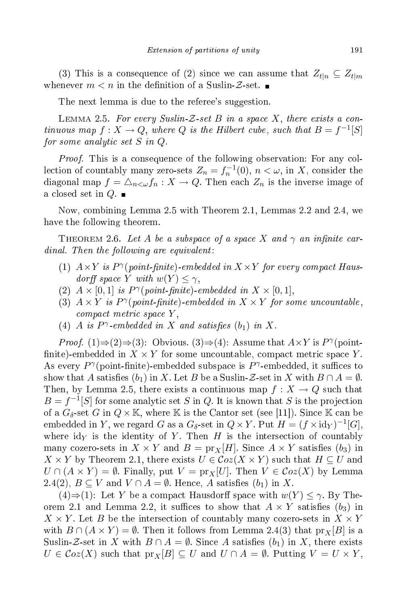(3) This is a consequence of (2) since we can assume that  $Z_{t|n} \subseteq Z_{t|m}$ whenever  $m < n$  in the definition of a Suslin-Z-set.

The next lemma is due to the referee's suggestion.

LEMMA 2.5. For every Suslin-Z-set B in a space X, there exists a continuous map  $f: X \to Q$ , where Q is the Hilbert cube, such that  $B = f^{-1}[S]$ for some analytic set  $S$  in  $Q.$ 

Proof. This is a onsequen
e of the following observation: For any ollection of countably many zero-sets  $Z_n = f_n^{-1}(0)$ ,  $n < \omega$ , in X, consider the diagonal map  $f = \Delta_{n \leq \omega} f_n : X \to Q$ . Then each  $Z_n$  is the inverse image of a closed set in  $Q$ .  $\blacksquare$ 

Now, ombining Lemma 2.5 with Theorem 2.1, Lemmas 2.2 and 2.4, we have the following theorem. The following theorem. The following theorem. The following theorem. The following theorem. The following the state of the following theorem. The following the state of the following theorem. Th

THEOREM 2.6. Let A be a subspace of a space X and  $\gamma$  an infinite car $dinal.$  Then the following are equivalent:

- (1)  $A \times Y$  is  $P^{\gamma}(\textit{point-finite})$ -embedded in  $X \times Y$  for every compact Hausdorff space Y with  $w(Y) \leq \gamma$ ,
- (2)  $A \times [0,1]$  is  $P^{\gamma}(point\text{-}finite)\text{-}embedded in X \times [0,1],$
- (3)  $A \times Y$  is  $P^{\gamma}(\text{point-finite})$ -embedded in  $X \times Y$  for some uncountable, compact metric space Y,
- (4) A is  $P^{\gamma}$ -embedded in X and satisfies  $(b_1)$  in X.

*Proof.* (1) $\Rightarrow$ (2) $\Rightarrow$ (3): Obvious. (3) $\Rightarrow$ (4): Assume that  $A \times Y$  is  $P^{\gamma}$ (pointfinite)-embedded in  $X \times Y$  for some uncountable, compact metric space Y. As every  $P^{\gamma}$ (point-finite)-embedded subspace is  $P^{\gamma}$ -embedded, it suffices to show that A satisfies  $(b_1)$  in X. Let B be a Suslin-Z-set in X with  $B \cap A = \emptyset$ . Then, by Lemma 2.5, there exists a continuous map  $f: X \to Q$  such that  $B = f^{-1}[S]$  for some analytic set S in Q. It is known that S is the projection of a  $G_{\delta}$ -set G in  $Q \times \mathbb{K}$ , where K is the Cantor set (see [11]). Since K can be embedded in Y, we regard G as a  $G_{\delta}$ -set in  $Q \times Y$ . Put  $H = (f \times id_Y)^{-1}[G]$ , where  $\mathrm{id}_Y$  is the identity of Y. Then H is the intersection of countably many cozero-sets in  $X \times Y$  and  $B = \text{pr}_X[H]$ . Since  $A \times Y$  satisfies  $(b_3)$  in  $X \times Y$  by Theorem 2.1, there exists  $U \in \mathcal{C}oz(X \times Y)$  such that  $H \subseteq U$  and  $U \cap (A \times Y) = \emptyset$ . Finally, put  $V = \text{pr}_X[U]$ . Then  $V \in \mathcal{C}oz(X)$  by Lemma 2.4(2),  $B \subseteq V$  and  $V \cap A = \emptyset$ . Hence, A satisfies  $(b_1)$  in X.

(4)⇒(1): Let Y be a compact Hausdorff space with  $w(Y) \leq \gamma$ . By Theorem 2.1 and Lemma 2.2, it suffices to show that  $A \times Y$  satisfies  $(b_3)$  in  $X \times Y$ . Let B be the intersection of countably many cozero-sets in  $X \times Y$ with  $B \cap (A \times Y) = \emptyset$ . Then it follows from Lemma 2.4(3) that  $\text{pr}_X[B]$  is a Suslin-Z-set in X with  $B \cap A = \emptyset$ . Since A satisfies  $(b_1)$  in X, there exists  $U \in \mathcal{C}oz(X)$  such that  $\text{pr}_X[B] \subseteq U$  and  $U \cap A = \emptyset$ . Putting  $V = U \times Y$ ,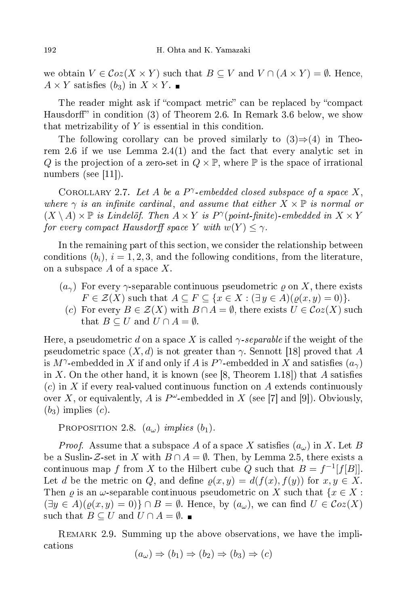we obtain  $V \in \mathcal{C}oz(X \times Y)$  such that  $B \subseteq V$  and  $V \cap (A \times Y) = \emptyset$ . Hence,  $A \times Y$  satisfies  $(b_3)$  in  $X \times Y$ .

The reader might ask if "compact metric" can be replaced by "compact Hausdorff" in condition (3) of Theorem 2.6. In Remark 3.6 below, we show that metrizability of  $Y$  is essential in this condition.

The following corollary can be proved similarly to  $(3) \Rightarrow (4)$  in Theorem 2.6 if we use Lemma  $2.4(1)$  and the fact that every analytic set in Q is the projection of a zero-set in  $Q \times \mathbb{P}$ , where  $\mathbb P$  is the space of irrational numbers (see  $[11]$ ).

COROLLARY 2.7. Let A be a  $P^{\gamma}$ -embedded closed subspace of a space X, where  $\gamma$  is an infinite cardinal, and assume that either  $X \times \mathbb{P}$  is normal or  $(X \setminus A) \times \mathbb{P}$  is Lindelöf. Then  $A \times Y$  is  $P^{\gamma}(point\text{-}finite)\text{-}embedded$  in  $X \times Y$ for every compact Hausdorff space  $Y$  with  $w(Y) \leq \gamma$ .

In the remaining part of this section, we consider the relationship between conditions  $(b_i)$ ,  $i = 1, 2, 3$ , and the following conditions, from the literature, on a subspace  $A$  of a space  $X$ .

- $(a_{\gamma})$  For every  $\gamma$ -separable continuous pseudometric  $\rho$  on X, there exists  $F \in \mathcal{Z}(X)$  such that  $A \subseteq F \subseteq \{x \in X : (\exists y \in A)(\varrho(x, y) = 0)\}.$ 
	- (c) For every  $B \in \mathcal{Z}(X)$  with  $B \cap A = \emptyset$ , there exists  $U \in \mathcal{C}oz(X)$  such that  $B \subseteq U$  and  $U \cap A = \emptyset$ .

Here, a pseudometric d on a space X is called  $\gamma$ -separable if the weight of the pseudometric space  $(X, d)$  is not greater than  $\gamma$ . Sennott [18] proved that A is  $M^\gamma$ -embedded in  $X$  if and only if  $A$  is  $P^\gamma$ -embedded in  $X$  and satisfies  $(a_\gamma)$ in X. On the other hand, it is known (see [8, Theorem 1.18]) that A satisfies (c) in X if every real-valued continuous function on A extends continuously over X, or equivalently, A is  $P^{\omega}$ -embedded in X (see [7] and [9]). Obviously,  $(b_3)$  implies  $(c)$ .

PROPOSITION 2.8.  $(a_{\omega})$  implies  $(b_1)$ .

*Proof.* Assume that a subspace A of a space X satisfies  $(a_{\omega})$  in X. Let B be a Suslin-Z-set in X with  $B \cap A = \emptyset$ . Then, by Lemma 2.5, there exists a continuous map f from X to the Hilbert cube Q such that  $B = f^{-1}[f[B]]$ . Let d be the metric on Q, and define  $\rho(x, y) = d(f(x), f(y))$  for  $x, y \in X$ . Then  $\varrho$  is an  $\omega$ -separable continuous pseudometric on X such that  $\{x \in X :$  $(\exists y \in A)(\varrho(x, y) = 0)$   $\cap$   $B = \emptyset$ . Hence, by  $(a_{\omega})$ , we can find  $U \in \mathcal{C}oz(X)$ such that  $B \subseteq U$  and  $U \cap A = \emptyset$ .

REMARK 2.9. Summing up the above observations, we have the impliations  $(a_{\omega}) \Rightarrow (b_1) \Rightarrow (b_2) \Rightarrow (b_3) \Rightarrow (c)$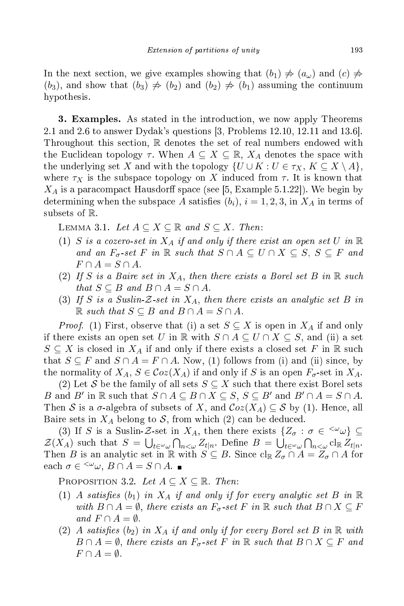In the next section, we give examples showing that  $(b_1) \neq (a_\omega)$  and  $(c) \neq$  $(b_3)$ , and show that  $(b_3) \neq (b_2)$  and  $(b_2) \neq (b_1)$  assuming the continuum hypothesis.

**3. Examples.** As stated in the introduction, we now apply Theorems 2.1 and 2.6 to answer Dydak's questions  $\vert 3$ , Problems 12.10, 12.11 and 13.6. Throughout this section,  $\mathbb R$  denotes the set of real numbers endowed with the Euclidean topology  $\tau$ . When  $A \subseteq X \subseteq \mathbb{R}$ ,  $X_A$  denotes the space with the underlying set X and with the topology  $\{U \cup K : U \in \tau_X, K \subseteq X \setminus A\},$ where  $\tau_X$  is the subspace topology on X induced from  $\tau$ . It is known that  $X_A$  is a paracompact Hausdorff space (see [5, Example 5.1.22]). We begin by determining when the subspace A satisfies  $(b_i)$ ,  $i = 1, 2, 3$ , in  $X_A$  in terms of subsets of R.

LEMMA 3.1. Let  $A \subseteq X \subseteq \mathbb{R}$  and  $S \subseteq X$ . Then:

- (1) S is a cozero-set in  $X_A$  if and only if there exist an open set U in  $\mathbb R$ and an  $F_{\sigma}$ -set F in  $\mathbb R$  such that  $S \cap A \subseteq U \cap X \subseteq S, S \subseteq F$  and  $F \cap A = S \cap A$ .
- (2) If S is a Baire set in  $X_A$ , then there exists a Borel set B in  $\mathbb R$  such that  $S \subseteq B$  and  $B \cap A = S \cap A$ .
- (3) If S is a Suslin-Z-set in  $X_A$ , then there exists an analytic set B in  $\mathbb R$  such that  $S \subseteq B$  and  $B \cap A = S \cap A$ .

*Proof.* (1) First, observe that (i) a set  $S \subseteq X$  is open in  $X_A$  if and only if there exists an open set U in R with  $S \cap A \subseteq U \cap X \subseteq S$ , and (ii) a set  $S \subseteq X$  is closed in  $X_A$  if and only if there exists a closed set F in R such that  $S \subseteq F$  and  $S \cap A = F \cap A$ . Now, (1) follows from (i) and (ii) since, by the normality of  $X_A$ ,  $S \in \mathcal{C}oz(X_A)$  if and only if S is an open  $F_{\sigma}$ -set in  $X_A$ .

(2) Let S be the family of all sets  $S \subseteq X$  such that there exist Borel sets B and B' in  $\mathbb R$  such that  $S \cap A \subseteq B \cap X \subseteq S$ ,  $S \subseteq B'$  and  $B' \cap A = S \cap A$ . Then S is a  $\sigma$ -algebra of subsets of X, and  $\mathcal{C}oz(X_A) \subseteq S$  by (1). Hence, all Baire sets in  $X_A$  belong to S, from which (2) can be deduced.

(3) If S is a Suslin-Z-set in  $X_A$ , then there exists  $\{Z_{\sigma} : \sigma \in {}^{<\omega}\omega\} \subseteq$  $\mathcal{Z}(X_A)$  such that  $S = \bigcup_{t \in \omega} \bigcap_{n < \omega} Z_{t|n}$ . Define  $B = \bigcup_{t \in \omega} \bigcap_{n < \omega} \text{cl}_{\mathbb{R}} Z_{t|n}$ . Then B is an analytic set in R with  $S \subseteq B$ . Since  $\text{cl}_{\mathbb{R}} Z_{\sigma} \cap A = Z_{\sigma} \cap A$  for each  $\sigma \in \langle^{\omega} \omega, B \cap A = S \cap A.$ 

PROPOSITION 3.2. Let  $A \subseteq X \subseteq \mathbb{R}$ . Then:

- (1) A satisfies  $(b_1)$  in  $X_A$  if and only if for every analytic set B in  $\mathbb R$ with  $B \cap A = \emptyset$ , there exists an  $F_{\sigma}$ -set F in  $\mathbb R$  such that  $B \cap X \subseteq F$ and  $F \cap A = \emptyset$ .
- (2) A satisfies (b<sub>2</sub>) in  $X_A$  if and only if for every Borel set B in  $\R$  with  $B \cap A = \emptyset$ , there exists an  $F_{\sigma}$ -set F in R such that  $B \cap X \subseteq F$  and  $F \cap A = \emptyset$ .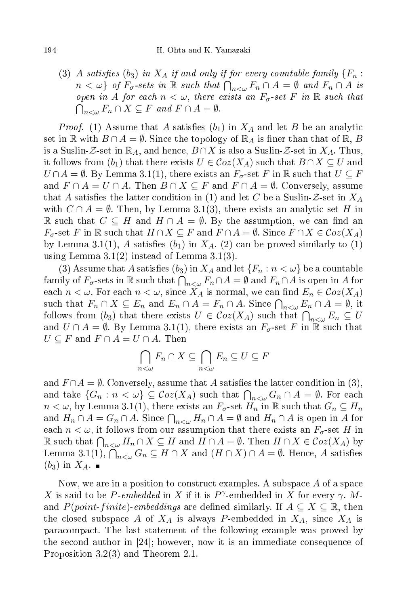(3) A satisfies (b<sub>3</sub>) in  $X_A$  if and only if for every countable family  $\{F_n:$  $n < \omega$ } of  $F_{\sigma}$ -sets in  $\mathbb R$  such that  $\bigcap_{n<\omega} F_n \cap A = \emptyset$  and  $F_n \cap A$  is open in A for each  $n < \omega$ , there exists an  $F_{\sigma}$ -set F in  $\mathbb R$  such that  $\bigcap_{n<\omega} F_n\cap X\subseteq F$  and  $F\cap A=\emptyset$ .

*Proof.* (1) Assume that A satisfies  $(b_1)$  in  $X_A$  and let B be an analytic set in  $\mathbb R$  with  $B \cap A = \emptyset$ . Since the topology of  $\mathbb R_A$  is finer than that of  $\mathbb R$ , B is a Suslin-Z-set in  $\mathbb{R}_A$ , and hence,  $B \cap X$  is also a Suslin-Z-set in  $X_A$ . Thus, it follows from  $(b_1)$  that there exists  $U \in \mathcal{C}oz(X_A)$  such that  $B \cap X \subseteq U$  and  $U \cap A = \emptyset$ . By Lemma 3.1(1), there exists an  $F_{\sigma}$ -set F in R such that  $U \subseteq F$ and  $F \cap A = U \cap A$ . Then  $B \cap X \subseteq F$  and  $F \cap A = \emptyset$ . Conversely, assume that A satisfies the latter condition in (1) and let C be a Suslin-Z-set in  $X_A$ with  $C \cap A = \emptyset$ . Then, by Lemma 3.1(3), there exists an analytic set H in R such that  $C \subseteq H$  and  $H \cap A = \emptyset$ . By the assumption, we can find an  $F_{\sigma}$ -set F in R such that  $H \cap X \subseteq F$  and  $F \cap A = \emptyset$ . Since  $F \cap X \in \mathcal{C}oz(X_A)$ by Lemma 3.1(1), A satisfies  $(b_1)$  in  $X_A$ . (2) can be proved similarly to (1) using Lemma  $3.1(2)$  instead of Lemma  $3.1(3)$ .

(3) Assume that A satisfies  $(b_3)$  in  $X_A$  and let  $\{F_n : n < \omega\}$  be a countable family of  $F_{\sigma}$ -sets in  $\R$  such that  $\bigcap_{n<\omega}F_n\cap A=\emptyset$  and  $F_n\cap A$  is open in  $A$  for each  $n < \omega$ . For each  $n < \omega$ , since  $X_A$  is normal, we can find  $E_n \in \mathcal{C}oz(X_A)$ such that  $F_n \cap X \subseteq E_n$  and  $E_n \cap A = F_n \cap A$ . Since  $\bigcap_{n<\omega} E_n \cap A = \emptyset$ , it follows from  $(b_3)$  that there exists  $U \in \mathcal{C}oz(X_A)$  such that  $\bigcap_{n<\omega} E_n \subseteq U$ and  $U \cap A = \emptyset$ . By Lemma 3.1(1), there exists an  $F_{\sigma}$ -set F in R such that  $U \subseteq F$  and  $F \cap A = U \cap A$ . Then

$$
\bigcap_{n<\omega} F_n \cap X \subseteq \bigcap_{n<\omega} E_n \subseteq U \subseteq F
$$

and  $F \cap A = \emptyset$ . Conversely, assume that A satisfies the latter condition in (3), and take  $\{G_n : n < \omega\} \subseteq \mathcal{C}oz(X_A)$  such that  $\bigcap_{n<\omega} G_n \cap A = \emptyset$ . For each  $n < \omega$ , by Lemma 3.1(1), there exists an  $F_{\sigma}$ -set  $H_n$  in  $\mathbb R$  such that  $G_n \subseteq H_n$ and  $H_n \cap A = G_n \cap A$ . Since  $\bigcap_{n<\omega} H_n \cap A = \emptyset$  and  $H_n \cap A$  is open in  $A$  for each  $n < \omega$ , it follows from our assumption that there exists an  $F_{\sigma}$ -set H in  $\mathbb R$  such that  $\bigcap_{n<\omega}H_n\cap X\subseteq H$  and  $H\cap A=\emptyset$ . Then  $H\cap X\in\mathcal{C}oz(X_A)$  by Lemma 3.1(1),  $\bigcap_{n<\omega} G_n \subseteq H \cap X$  and  $(H \cap X) \cap A = \emptyset$ . Hence, A satisfies  $(b_3)$  in  $X_A$ .

Now, we are in a position to construct examples. A subspace  $A$  of a space X is said to be P-embedded in X if it is  $P^{\gamma}$ -embedded in X for every  $\gamma$ . Mand  $P(point-finite)$  embeddings are defined similarly. If  $A\subseteq X\subseteq \mathbb{R},$  then the closed subspace A of  $X_A$  is always P-embedded in  $X_A$ , since  $X_A$  is para
ompa
t. The last statement of the following example was proved by the second author in  $|24|$ ; however, now it is an immediate consequence of Proposition 3.2(3) and Theorem 2.1.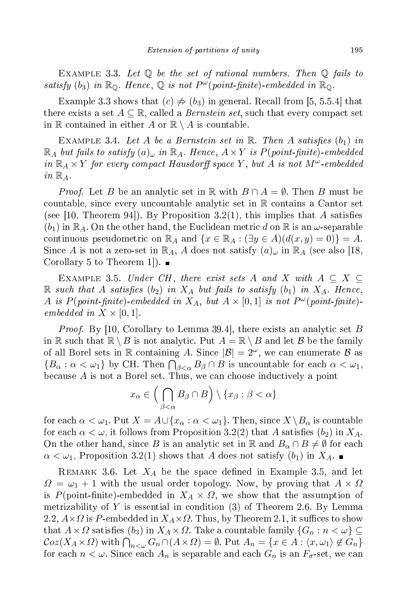EXAMPLE 3.3. Let  $\mathbb Q$  be the set of rational numbers. Then  $\mathbb Q$  fails to satisfy  $(b_3)$  in  $\mathbb{R}_{\mathbb{Q}}$ . Hence,  $\mathbb{Q}$  is not  $P^{\omega}(point\text{-}finite)$ -embedded in  $\mathbb{R}_{\mathbb{Q}}$ .

Example 3.3 shows that  $(c) \neq (b_3)$  in general. Recall from [5, 5.5.4] that there exists a set  $A \subseteq \mathbb{R}$ , called a *Bernstein set*, such that every compact set in  $\mathbb R$  contained in either A or  $\mathbb R \setminus A$  is countable.

EXAMPLE 3.4. Let A be a Bernstein set in  $\mathbb R$ . Then A satisfies  $(b_1)$  in  $\mathbb{R}_A$  but fails to satisfy  $(a)_{\omega}$  in  $\mathbb{R}_A$ . Hence,  $A \times Y$  is  $P(\textit{point-finite})$ -embedded in  $\mathbb{R}_A \times Y$  for every compact Hausdorff space Y, but A is not  $M^\omega$ -embedded in  $\mathbb{R}_A$ .

*Proof.* Let B be an analytic set in R with  $B \cap A = \emptyset$ . Then B must be countable, since every uncountable analytic set in  $\mathbb R$  contains a Cantor set (see [10, Theorem 94]). By Proposition 3.2(1), this implies that A satisfies  $(b_1)$  in  $\mathbb{R}_A.$  On the other hand, the Euclidean metric  $d$  on  $\mathbb R$  is an  $\omega$ -separable continuous pseudometric on  $\mathbb{R}_A$  and  $\{x \in \mathbb{R}_A : (\exists y \in A)(d(x, y) = 0)\} = A$ . Since A is not a zero-set in  $\mathbb{R}_A$ , A does not satisfy  $(a)_{\omega}$  in  $\mathbb{R}_A$  (see also 18, Corollary 5 to Theorem 1..

EXAMPLE 3.5. Under CH, there exist sets A and X with  $A \subseteq X$  $\mathbb R$  such that A satisfies  $(b_2)$  in  $X_A$  but fails to satisfy  $(b_1)$  in  $X_A$ . Hence, A is  $P(point-finite)$ -embedded in  $X_A$ , but  $A \times [0,1]$  is not  $P^{\omega}(point-finite)$ embedded in  $X \times [0,1]$ .

*Proof.* By [10, Corollary to Lemma 39.4], there exists an analytic set B in R such that  $\mathbb{R} \setminus B$  is not analytic. Put  $A = \mathbb{R} \setminus B$  and let B be the family of all Borel sets in  $\mathbb R$  containing A. Since  $|\mathcal{B}| = 2^{\omega}$ , we can enumerate  $\mathcal B$  as  $\{B_\alpha : \alpha < \omega_1\}$  by CH. Then  $\bigcap_{\beta < \alpha} B_\beta \cap B$  is uncountable for each  $\alpha < \omega_1$ , because  $A$  is not a Borel set. Thus, we can choose inductively a point

$$
x_{\alpha} \in \left(\bigcap_{\beta < \alpha} B_{\beta} \cap B\right) \setminus \{x_{\beta} : \beta < \alpha\}
$$

for each  $\alpha < \omega_1$ . Put  $X = A \cup \{x_\alpha : \alpha < \omega_1\}$ . Then, since  $X \setminus B_\alpha$  is countable for each  $\alpha < \omega$ , it follows from Proposition 3.2(2) that A satisfies  $(b_2)$  in  $X_A$ . On the other hand, since B is an analytic set in R and  $B_{\alpha} \cap B \neq \emptyset$  for each  $\alpha < \omega_1$ , Proposition 3.2(1) shows that A does not satisfy  $(b_1)$  in  $X_A$ .

REMARK 3.6. Let  $X_A$  be the space defined in Example 3.5, and let  $\Omega = \omega_1 + 1$  with the usual order topology. Now, by proving that  $A \times \Omega$ is P(point-finite)-embedded in  $X_A \times \Omega$ , we show that the assumption of metrizability of Y is essential in condition  $(3)$  of Theorem 2.6. By Lemma 2.2,  $A \times \Omega$  is P-embedded in  $X_A \times \Omega$ . Thus, by Theorem 2.1, it suffices to show that  $A \times \Omega$  satisfies  $(b_3)$  in  $X_A \times \Omega$ . Take a countable family  $\{G_n : n < \omega\} \subseteq$  $\mathcal{C}oz(X_A\times\Omega)$  with  $\bigcap_{n<\omega}G_n\cap(A\times\Omega)=\emptyset$ . Put  $A_n=\{x\in A:\langle x,\omega_1\rangle\not\in G_n\}$ for each  $n < \omega$ . Since each  $A_n$  is separable and each  $G_n$  is an  $F_{\sigma}$ -set, we can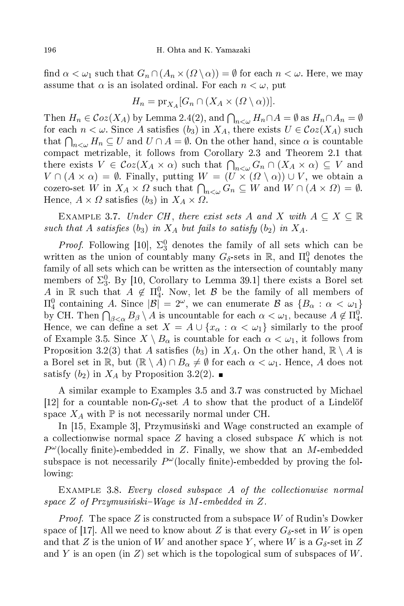find  $\alpha < \omega_1$  such that  $G_n \cap (A_n \times (O \setminus \alpha)) = \emptyset$  for each  $n < \omega$ . Here, we may assume that  $\alpha$  is an isolated ordinal. For each  $n < \omega$ , put

$$
H_n = \mathrm{pr}_{X_A}[G_n \cap (X_A \times (0 \setminus \alpha))].
$$

Then  $H_n \in \mathcal{C}oz(X_A)$  by Lemma 2.4(2), and  $\bigcap_{n<\omega} H_n \cap A = \emptyset$  as  $H_n \cap A_n = \emptyset$ for each  $n < \omega$ . Since A satisfies  $(b_3)$  in  $X_A$ , there exists  $U \in \mathcal{C}oz(X_A)$  such that  $\bigcap_{n<\omega}H_n\subseteq U$  and  $U\cap A=\emptyset.$  On the other hand, since  $\alpha$  is countable ompa
t metrizable, it follows from Corollary 2.3 and Theorem 2.1 that there exists  $V \in \mathcal{C}oz(X_A \times \alpha)$  such that  $\bigcap_{n<\omega} G_n \cap (X_A \times \alpha) \subseteq V$  and  $V \cap (A \times \alpha) = \emptyset$ . Finally, putting  $W = (U \times (Q \setminus \alpha)) \cup V$ , we obtain a cozero-set W in  $X_A \times \Omega$  such that  $\bigcap_{n<\omega} G_n \subseteq W$  and  $W \cap (A \times \Omega) = \emptyset$ . Hence,  $A \times \Omega$  satisfies  $(b_3)$  in  $X_A \times \Omega$ .

EXAMPLE 3.7. Under CH, there exist sets A and X with  $A \subseteq X \subseteq \mathbb{R}$ such that A satisfies  $(b_3)$  in  $X_A$  but fails to satisfy  $(b_2)$  in  $X_A$ .

*Proof.* Following [10],  $\Sigma_3^0$  denotes the family of all sets which can be written as the union of countably many  $G_{\delta}$ -sets in  $\mathbb{R}$ , and  $\Pi^0_4$  denotes the family of all sets which can be written as the intersection of countably many members of  $\Sigma_3^0$ . By [10, Corollary to Lemma 39.1] there exists a Borel set  $A_{\text{in}}$  R such that  $A \notin \Pi_4^0$ . Now, let B be the family of all members of  $\Pi_4^0$  containing A. Since  $|\mathcal{B}| = 2^\omega$ , we can enumerate  $\mathcal{B}$  as  $\{B_\alpha : \alpha < \omega_1\}$ by CH. Then  $\bigcap_{\beta<\alpha}B_{\beta}\setminus A$  is uncountable for each  $\alpha<\omega_1$ , because  $A\not\in\Pi_4^0$ . Hence, we can define a set  $X = A \cup \{x_\alpha : \alpha < \omega_1\}$  similarly to the proof of Example 3.5. Since  $X \setminus B_\alpha$  is countable for each  $\alpha < \omega_1$ , it follows from Proposition 3.2(3) that A satisfies (b<sub>3</sub>) in  $X_A$ . On the other hand,  $\mathbb{R} \setminus A$  is a Borel set in  $\mathbb{R}$ , but  $(\mathbb{R} \setminus A) \cap B_{\alpha} \neq \emptyset$  for each  $\alpha < \omega_1$ . Hence, A does not satisfy  $(b_2)$  in  $X_A$  by Proposition 3.2(2).

A similar example to Examples 3.5 and 3.7 was onstru
ted by Mi
hael [12] for a countable non- $G_{\delta}$ -set A to show that the product of a Lindelöf space  $X_A$  with  $\mathbb P$  is not necessarily normal under CH.

In [15, Example 3], Przymusiński and Wage constructed an example of a collectionwise normal space Z having a closed subspace K which is not  $P^{\omega}$ (locally finite)-embedded in Z. Finally, we show that an M-embedded subspace is not necessarily  $P^{\omega}$ (locally finite)-embedded by proving the following:

 $EXAMPLE 3.8. Every closed subspace A of the collectionwise normal$ space  $Z$  of Przymusiński–Wage is  $M$ -embedded in  $Z$ .

*Proof.* The space Z is constructed from a subspace W of Rudin's Dowker space of [17]. All we need to know about Z is that every  $G_{\delta}$ -set in W is open and that  $Z$  is the union of  $W$  and another space  $Y,$  where  $W$  is a  $G_\delta$ -set in  $Z$ and Y is an open (in Z) set which is the topological sum of subspaces of W.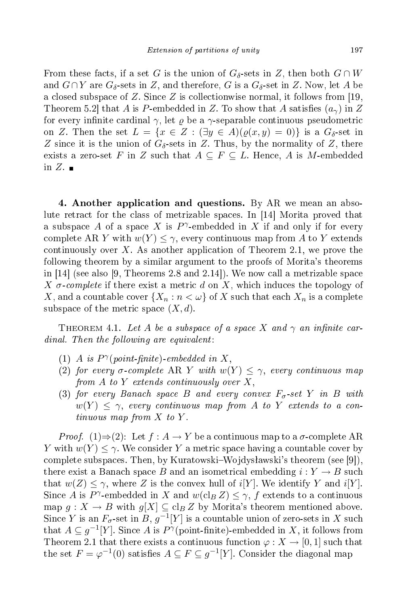From these facts, if a set G is the union of  $G_{\delta}$ -sets in Z, then both  $G \cap W$ and  $G \cap Y$  are  $G_{\delta}$ -sets in Z, and therefore, G is a  $G_{\delta}$ -set in Z. Now, let A be a closed subspace of Z. Since Z is collectionwise normal, it follows from [19, Theorem 5.2 that A is P-embedded in Z. To show that A satisfies  $(a_{\gamma})$  in Z for every infinite cardinal  $\gamma$ , let  $\rho$  be a  $\gamma$ -separable continuous pseudometric on Z. Then the set  $L = \{x \in Z : (\exists y \in A)(\varrho(x, y) = 0)\}\$ is a  $G_{\delta}$ -set in Z since it is the union of  $G_{\delta}$ -sets in Z. Thus, by the normality of Z, there exists a zero-set F in Z such that  $A \subseteq F \subseteq L$ . Hence, A is M-embedded in  $Z$ .

4. Another application and questions. By AR we mean an absolute retract for the class of metrizable spaces. In  $[14]$  Morita proved that a subspace A of a space X is  $P^{\gamma}$ -embedded in X if and only if for every complete AR Y with  $w(Y) \leq \gamma$ , every continuous map from A to Y extends continuously over X. As another application of Theorem 2.1, we prove the following theorem by a similar argument to the proofs of Morita's theorems in  $[14]$  (see also [9, Theorems 2.8 and 2.14]). We now call a metrizable space X  $\sigma$ -complete if there exist a metric d on X, which induces the topology of X, and a countable cover  $\{X_n : n < \omega\}$  of X such that each  $X_n$  is a complete subspace of the metric space  $(X, d)$ .

THEOREM 4.1. Let A be a subspace of a space X and  $\gamma$  an infinite car $dinal.$  Then the following are equivalent:

- (1) A is  $P^{\gamma}(point\text{-}finite)\text{-}embedded in X,$
- (2) for every  $\sigma$ -complete AR Y with  $w(Y) \leq \gamma$ , every continuous map from  $A$  to  $Y$  extends continuously over  $X,$
- (3) for every Banach space B and every convex  $F_{\sigma}$ -set Y in B with  $w(Y) \leq \gamma$ , every continuous map from A to Y extends to a continuous map from  $X$  to  $Y$ .

*Proof.* (1)⇒(2): Let  $f : A \to Y$  be a continuous map to a  $\sigma$ -complete AR Y with  $w(Y) \leq \gamma$ . We consider Y a metric space having a countable cover by complete subspaces. Then, by Kuratowski–Wojdysławski's theorem (see [9]), there exist a Banach space B and an isometrical embedding  $i: Y \to B$  such that  $w(Z) \leq \gamma$ , where Z is the convex hull of  $i[Y]$ . We identify Y and  $i[Y]$ . Since A is P<sup> $\gamma$ </sup>-embedded in X and  $w(\text{cl}_B Z) \leq \gamma$ , f extends to a continuous map  $g: X \to B$  with  $g[X] \subseteq \text{cl}_B Z$  by Morita's theorem mentioned above. Since Y is an  $F_{\sigma}$ -set in B,  $g^{-1}[Y]$  is a countable union of zero-sets in X such that  $A \subseteq g^{-1}[Y]$ . Since A is  $P^{\gamma}$ (point-finite)-embedded in X, it follows from Theorem 2.1 that there exists a continuous function  $\varphi: X \to [0,1]$  such that the set  $F = \varphi^{-1}(0)$  satisfies  $A \subseteq F \subseteq g^{-1}[Y]$ . Consider the diagonal map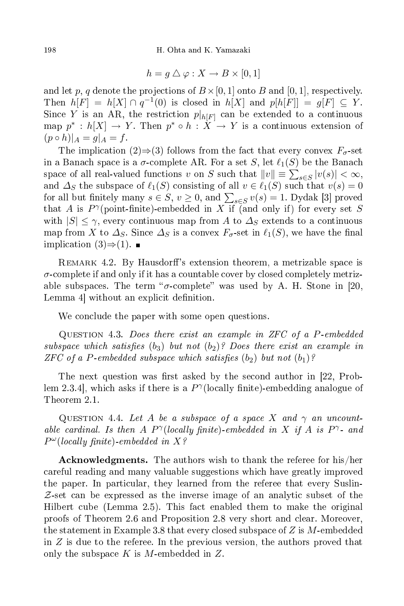$$
h=g\bigtriangleup\varphi: X\to B\times[0,1]
$$

and let p, q denote the projections of  $B\times [0,1]$  onto B and [0, 1], respectively. Then  $h[F] = h[X] \cap q^{-1}(0)$  is closed in  $h[X]$  and  $p[h[F]] = g[F] \subseteq Y$ . Since Y is an AR, the restriction  $p|_{h[F]}$  can be extended to a continuous map  $p^* : h[X] \to Y$ . Then  $p^* \circ h : X \to Y$  is a continuous extension of  $(p \circ h)|_A = g|_A = f.$ 

The implication (2) $\Rightarrow$  (3) follows from the fact that every convex  $F_{\sigma}$ -set in a Banach space is a  $\sigma$ -complete AR. For a set S, let  $\ell_1(S)$  be the Banach space of all real-valued functions v on S such that  $||v|| \equiv \sum_{s \in S} |v(s)| < \infty$ , and  $\Delta_S$  the subspace of  $\ell_1(S)$  consisting of all  $v \in \ell_1(S)$  such that  $v(s) = 0$ for all but finitely many  $s \in S$ ,  $v \ge 0$ , and  $\sum_{s \in S} v(s) = 1$ . Dydak [3] proved that A is  $P^{\gamma}(\text{point-finite})$ -embedded in X if (and only if) for every set S with  $|S| \leq \gamma$ , every continuous map from A to  $\Delta_S$  extends to a continuous map from X to  $\Delta_S$ . Since  $\Delta_S$  is a convex  $F_{\sigma}$ -set in  $\ell_1(S)$ , we have the final implication  $(3) \Rightarrow (1)$ . ■

REMARK 4.2. By Hausdorff's extension theorem, a metrizable space is  $\sigma$ -complete if and only if it has a countable cover by closed completely metrizable subspaces. The term " $\sigma$ -complete" was used by A. H. Stone in [20, Lemma 4 without an explicit definition.

We conclude the paper with some open questions.

QUESTION 4.3. Does there exist an example in ZFC of a P-embedded subspace which satisfies  $(b_3)$  but not  $(b_2)$ ? Does there exist an example in  $\emph{ZFC}$  of a P-embedded subspace which satisfies  $(b_2)$  but not  $(b_1)$ ?

The next question was first asked by the second author in  $[22, Prob$ lem 2.3.4], which asks if there is a  $P^{\gamma}$ (locally finite)-embedding analogue of Theorem 2.1.

QUESTION 4.4. Let A be a subspace of a space X and  $\gamma$  an uncountable cardinal. Is then A  $P^{\gamma}$ (locally finite)-embedded in X if A is  $P^{\gamma}$ - and  $P^{\omega}$ (locally finite)-embedded in X?

 ${\bf Acknowledgments.}$  The authors wish to thank the referee for his/her areful reading and many valuable suggestions whi
h have greatly improved the paper. In particular, they learned from the referee that every Suslin- $Z$ -set can be expressed as the inverse image of an analytic subset of the Hilbert ube (Lemma 2.5). This fa
t enabled them to make the original proofs of Theorem 2.6 and Proposition 2.8 very short and lear. Moreover, the statement in Example 3.8 that every closed subspace of  $Z$  is M-embedded in  $Z$  is due to the referee. In the previous version, the authors proved that only the subspace  $K$  is  $M$ -embedded in  $Z$ .